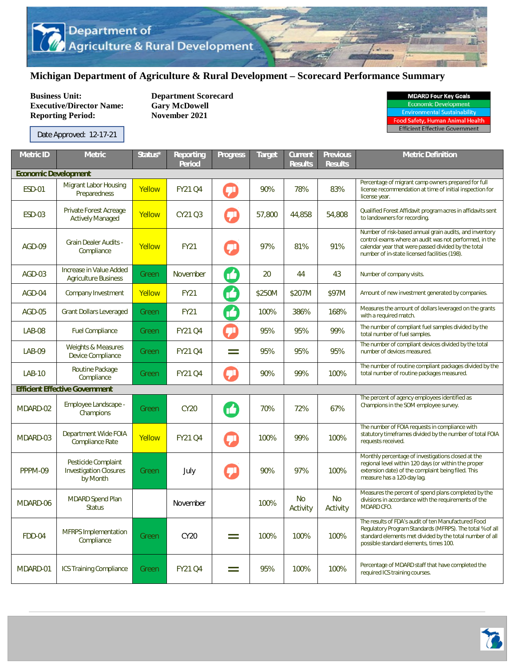## **Michigan Department of Agriculture & Rural Development – Scorecard Performance Summary**

**Business Unit:** Department Scorecard<br> **Executive/Director Name:** Gary McDowell **Executive/Director Name: Reporting Period: November 2021** 

| <b>MDARD Four Key Goals</b>  |  |  |  |  |  |  |
|------------------------------|--|--|--|--|--|--|
| <b>Economic Development</b>  |  |  |  |  |  |  |
| Environmantal Suctainability |  |  |  |  |  |  |

Food Safety, Human Animal Health<br>Efficient Effective Government

| <b>Metric ID</b>            | <b>Metric</b>                                                    | Status* | Reporting<br><b>Period</b> | <b>Progress</b> | Target | Current<br><b>Results</b> | <b>Previous</b><br><b>Results</b> | <b>Metric Definition</b>                                                                                                                                                                                                  |  |  |
|-----------------------------|------------------------------------------------------------------|---------|----------------------------|-----------------|--------|---------------------------|-----------------------------------|---------------------------------------------------------------------------------------------------------------------------------------------------------------------------------------------------------------------------|--|--|
| <b>Economic Development</b> |                                                                  |         |                            |                 |        |                           |                                   |                                                                                                                                                                                                                           |  |  |
| <b>ESD-01</b>               | <b>Migrant Labor Housing</b><br>Preparedness                     | Yellow  | <b>FY21 Q4</b>             | ą۱              | 90%    | 78%                       | 83%                               | Percentage of migrant camp owners prepared for full<br>license recommendation at time of initial inspection for<br>license year.                                                                                          |  |  |
| <b>ESD-03</b>               | Private Forest Acreage<br><b>Actively Managed</b>                | Yellow  | CY21 Q3                    |                 | 57,800 | 44,858                    | 54,808                            | Qualified Forest Affidavit program acres in affidavits sent<br>to landowners for recording.                                                                                                                               |  |  |
| AGD-09                      | <b>Grain Dealer Audits -</b><br>Compliance                       | Yellow  | <b>FY21</b>                |                 | 97%    | 81%                       | 91%                               | Number of risk-based annual grain audits, and inventory<br>control exams where an audit was not performed, in the<br>calendar year that were passed divided by the total<br>number of in-state licensed facilities (198). |  |  |
| AGD-03                      | Increase in Value Added<br><b>Agriculture Business</b>           | Green   | <b>November</b>            | M               | 20     | 44                        | 43                                | Number of company visits.                                                                                                                                                                                                 |  |  |
| AGD-04                      | Company Investment                                               | Yellow  | <b>FY21</b>                | M               | \$250M | \$207M                    | \$97M                             | Amount of new investment generated by companies.                                                                                                                                                                          |  |  |
| <b>AGD-05</b>               | <b>Grant Dollars Leveraged</b>                                   | Green   | <b>FY21</b>                | M               | 100%   | 386%                      | 168%                              | Measures the amount of dollars leveraged on the grants<br>with a required match.                                                                                                                                          |  |  |
| <b>LAB-08</b>               | <b>Fuel Compliance</b>                                           | Green   | <b>FY21 Q4</b>             | Ţ۱              | 95%    | 95%                       | 99%                               | The number of compliant fuel samples divided by the<br>total number of fuel samples.                                                                                                                                      |  |  |
| LAB-09                      | <b>Weights &amp; Measures</b><br>Device Compliance               | Green   | <b>FY21 Q4</b>             | $=$             | 95%    | 95%                       | 95%                               | The number of compliant devices divided by the total<br>number of devices measured.                                                                                                                                       |  |  |
| <b>LAB-10</b>               | Routine Package<br>Compliance                                    | Green   | <b>FY21 Q4</b>             | ÇI              | 90%    | 99%                       | 100%                              | The number of routine compliant packages divided by the<br>total number of routine packages measured.                                                                                                                     |  |  |
|                             | <b>Efficient Effective Government</b>                            |         |                            |                 |        |                           |                                   |                                                                                                                                                                                                                           |  |  |
| MDARD-02                    | Employee Landscape -<br>Champions                                | Green   | <b>CY20</b>                | M               | 70%    | 72%                       | 67%                               | The percent of agency employees identified as<br>Champions in the SOM employee survey.                                                                                                                                    |  |  |
| MDARD-03                    | Department Wide FOIA<br><b>Compliance Rate</b>                   | Yellow  | <b>FY21 Q4</b>             | Ţ               | 100%   | 99%                       | 100%                              | The number of FOIA requests in compliance with<br>statutory timeframes divided by the number of total FOIA<br>requests received.                                                                                          |  |  |
| PPPM-09                     | Pesticide Complaint<br><b>Investigation Closures</b><br>by Month | Green   | July                       | لا              | 90%    | 97%                       | 100%                              | Monthly percentage of investigations closed at the<br>regional level within 120 days (or within the proper<br>extension date) of the complaint being filed. This<br>measure has a 120-day lag.                            |  |  |
| MDARD-06                    | <b>MDARD Spend Plan</b><br><b>Status</b>                         |         | November                   |                 | 100%   | No<br>Activity            | <b>No</b><br>Activity             | Measures the percent of spend plans completed by the<br>divisions in accordance with the requirements of the<br>MDARD CFO.                                                                                                |  |  |
| <b>FDD-04</b>               | <b>MFRPS</b> Implementation<br>Compliance                        | Green   | <b>CY20</b>                | $=$             | 100%   | 100%                      | 100%                              | The results of FDA's audit of ten Manufactured Food<br>Regulatory Program Standards (MFRPS). The total % of all<br>standard elements met divided by the total number of all<br>possible standard elements, times 100.     |  |  |
| MDARD-01                    | <b>ICS Training Compliance</b>                                   | Green   | <b>FY21 Q4</b>             | $=$             | 95%    | 100%                      | 100%                              | Percentage of MDARD staff that have completed the<br>required ICS training courses.                                                                                                                                       |  |  |